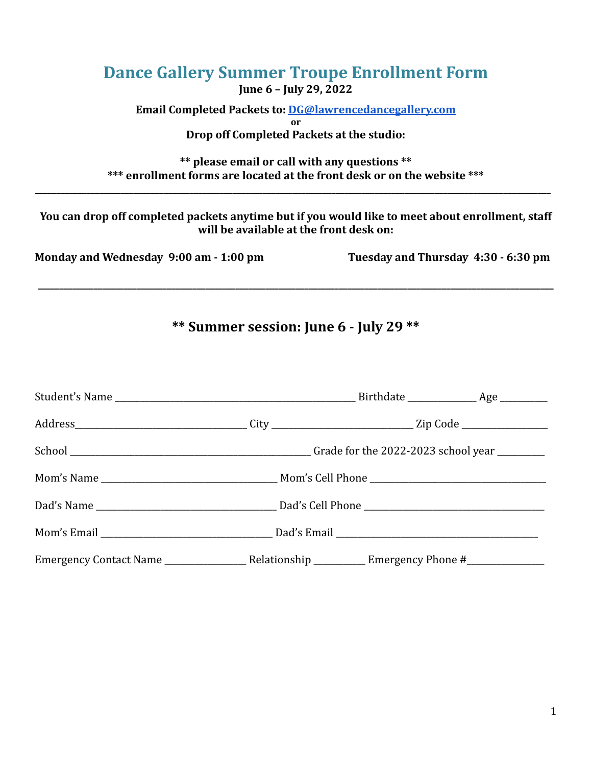| <b>Dance Gallery Summer Troupe Enrollment Form</b><br>June 6 - July 29, 2022                                                                |                                     |
|---------------------------------------------------------------------------------------------------------------------------------------------|-------------------------------------|
| <b>Email Completed Packets to: DG@lawrencedancegallery.com</b><br>or<br>Drop off Completed Packets at the studio:                           |                                     |
| ** please email or call with any questions **<br>*** enrollment forms are located at the front desk or on the website ***                   |                                     |
| You can drop off completed packets anytime but if you would like to meet about enrollment, staff<br>will be available at the front desk on: |                                     |
| Monday and Wednesday 9:00 am - 1:00 pm                                                                                                      | Tuesday and Thursday 4:30 - 6:30 pm |
|                                                                                                                                             |                                     |

# **\*\* Summer session: June 6 - July 29 \*\***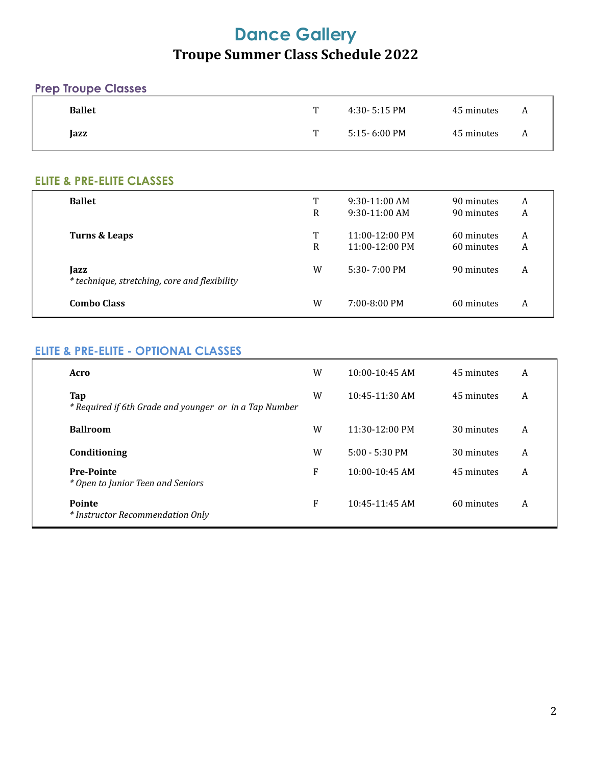## **Dance Gallery Troupe Summer Class Schedule 2022**

#### **Prep Troupe Classes**

| <b>Ballet</b> | T  | 4:30- 5:15 PM | 45 minutes | <b>A</b> |
|---------------|----|---------------|------------|----------|
| Jazz          | T. | 5:15- 6:00 PM | 45 minutes | <b>A</b> |

#### **ELITE & PRE-ELITE CLASSES**

| <b>Ballet</b>                                         | T | $9:30-11:00$ AM          | 90 minutes | A |
|-------------------------------------------------------|---|--------------------------|------------|---|
|                                                       | R | $9:30-11:00$ AM          | 90 minutes | A |
| Turns & Leaps                                         | T | $11:00-12:00 \text{ PM}$ | 60 minutes | A |
|                                                       | R | $11:00-12:00$ PM         | 60 minutes | A |
| Jazz<br>* technique, stretching, core and flexibility | W | 5:30-7:00 PM             | 90 minutes | A |
| <b>Combo Class</b>                                    | W | $7:00 - 8:00 \text{ PM}$ | 60 minutes | A |

#### **ELITE & PRE-ELITE - OPTIONAL CLASSES**

| Acro                                                          | W | $10:00 - 10:45$ AM       | 45 minutes | A |
|---------------------------------------------------------------|---|--------------------------|------------|---|
| Tap<br>* Required if 6th Grade and younger or in a Tap Number | W | $10:45-11:30$ AM         | 45 minutes | A |
| <b>Ballroom</b>                                               | W | $11:30-12:00 \text{ PM}$ | 30 minutes | A |
| Conditioning                                                  | W | $5:00 - 5:30 \text{ PM}$ | 30 minutes | A |
| <b>Pre-Pointe</b><br>* Open to Junior Teen and Seniors        | F | $10:00-10:45$ AM         | 45 minutes | A |
| <b>Pointe</b><br>* Instructor Recommendation Only             | F | $10:45-11:45$ AM         | 60 minutes | A |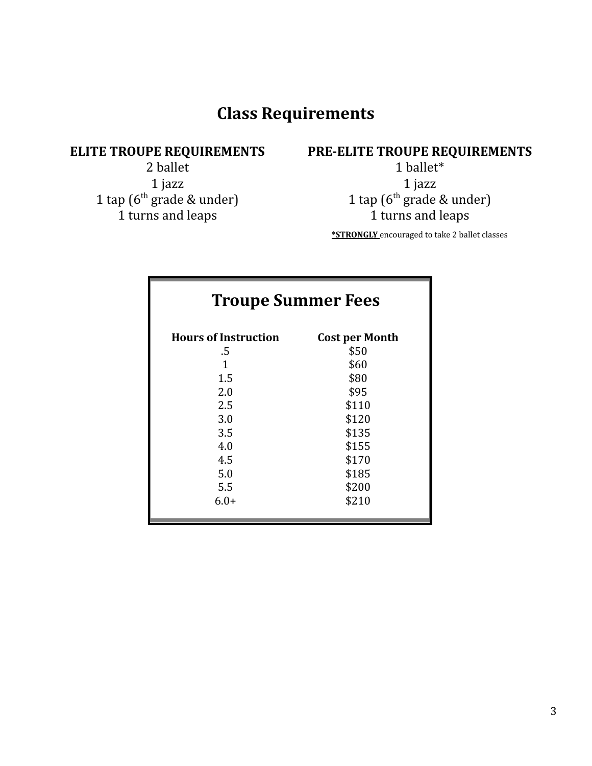## **Class Requirements**

### **ELITE TROUPE REQUIREMENTS**

2 ballet 1 jazz 1 tap (6 th grade & under) 1 turns and leaps

### **PRE-ELITE TROUPE REQUIREMENTS**

1 ballet\* 1 jazz 1 tap (6 th grade & under) 1 turns and leaps

**\*STRONGLY** encouraged to take 2 ballet classes

| <b>Troupe Summer Fees</b>   |                       |  |  |
|-----------------------------|-----------------------|--|--|
| <b>Hours of Instruction</b> | <b>Cost per Month</b> |  |  |
| .5                          | \$50                  |  |  |
| 1                           | \$60                  |  |  |
| 1.5                         | \$80                  |  |  |
| 2.0                         | \$95                  |  |  |
| 2.5                         | \$110                 |  |  |
| 3.0                         | \$120                 |  |  |
| 3.5                         | \$135                 |  |  |
| 4.0                         | \$155                 |  |  |
| 4.5                         | \$170                 |  |  |
| 5.0                         | \$185                 |  |  |
| 5.5                         | \$200                 |  |  |
| $6.0+$                      | \$210                 |  |  |
|                             |                       |  |  |